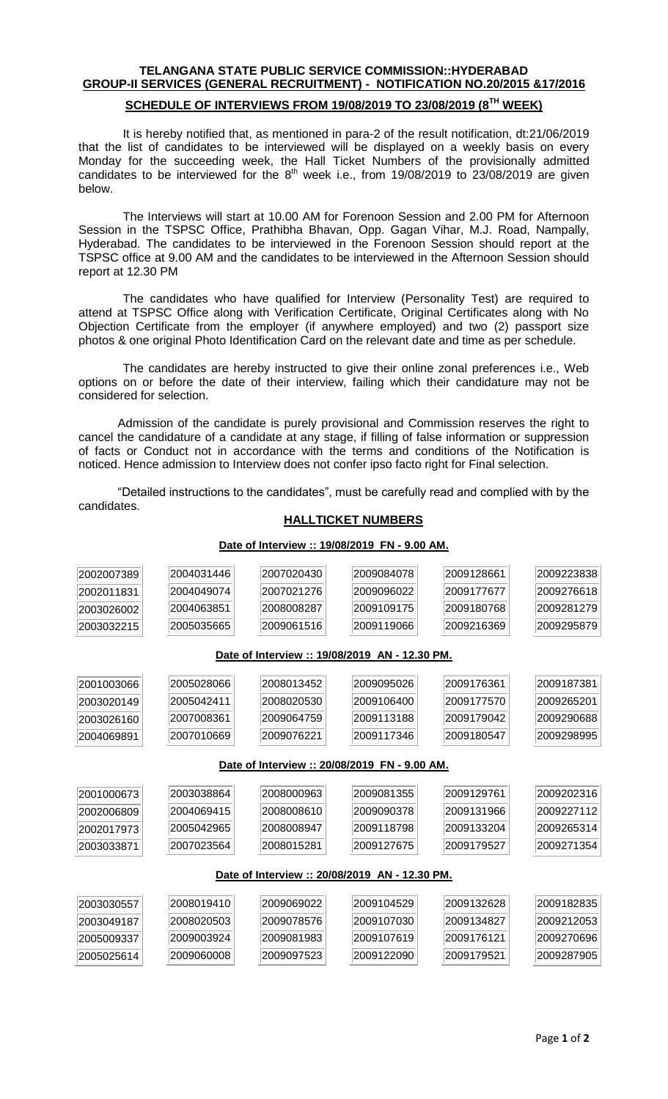# **TELANGANA STATE PUBLIC SERVICE COMMISSION::HYDERABAD GROUP-II SERVICES (GENERAL RECRUITMENT) - NOTIFICATION NO.20/2015 &17/2016**

### **SCHEDULE OF INTERVIEWS FROM 19/08/2019 TO 23/08/2019 (8 TH WEEK)**

It is hereby notified that, as mentioned in para-2 of the result notification, dt:21/06/2019 that the list of candidates to be interviewed will be displayed on a weekly basis on every Monday for the succeeding week, the Hall Ticket Numbers of the provisionally admitted candidates to be interviewed for the  $8<sup>th</sup>$  week i.e., from 19/08/2019 to 23/08/2019 are given below.

The Interviews will start at 10.00 AM for Forenoon Session and 2.00 PM for Afternoon Session in the TSPSC Office, Prathibha Bhavan, Opp. Gagan Vihar, M.J. Road, Nampally, Hyderabad. The candidates to be interviewed in the Forenoon Session should report at the TSPSC office at 9.00 AM and the candidates to be interviewed in the Afternoon Session should report at 12.30 PM

The candidates who have qualified for Interview (Personality Test) are required to attend at TSPSC Office along with Verification Certificate, Original Certificates along with No Objection Certificate from the employer (if anywhere employed) and two (2) passport size photos & one original Photo Identification Card on the relevant date and time as per schedule.

The candidates are hereby instructed to give their online zonal preferences i.e., Web options on or before the date of their interview, failing which their candidature may not be considered for selection.

Admission of the candidate is purely provisional and Commission reserves the right to cancel the candidature of a candidate at any stage, if filling of false information or suppression of facts or Conduct not in accordance with the terms and conditions of the Notification is noticed. Hence admission to Interview does not confer ipso facto right for Final selection.

"Detailed instructions to the candidates", must be carefully read and complied with by the candidates.

### **HALLTICKET NUMBERS**

#### **Date of Interview :: 19/08/2019 FN - 9.00 AM. Date of Interview :: 19/08/2019 AN - 12.30 PM. Date of Interview :: 20/08/2019 FN - 9.00 AM. Date of Interview :: 20/08/2019 AN - 12.30 PM.**

Page **1** of **2**